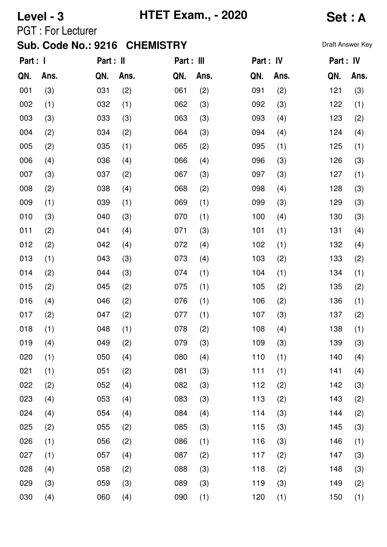**Level - 3 HTET Exam., - 2020 Set : A**

PGT : For Lecturer

| Part : I |      | Part : II |      | Part : III |      | Part : IV |      | Part : IV |      |
|----------|------|-----------|------|------------|------|-----------|------|-----------|------|
| QN.      | Ans. | QN.       | Ans. | QN.        | Ans. | QN.       | Ans. | QN.       | Ans. |
| 001      | (3)  | 031       | (2)  | 061        | (2)  | 091       | (2)  | 121       | (3)  |
| 002      | (1)  | 032       | (1)  | 062        | (3)  | 092       | (3)  | 122       | (1)  |
| 003      | (3)  | 033       | (3)  | 063        | (3)  | 093       | (4)  | 123       | (2)  |
| 004      | (2)  | 034       | (2)  | 064        | (3)  | 094       | (4)  | 124       | (4)  |
| 005      | (2)  | 035       | (1)  | 065        | (2)  | 095       | (1)  | 125       | (1)  |
| 006      | (4)  | 036       | (4)  | 066        | (4)  | 096       | (3)  | 126       | (3)  |
| 007      | (3)  | 037       | (2)  | 067        | (3)  | 097       | (3)  | 127       | (1)  |
| 008      | (2)  | 038       | (4)  | 068        | (2)  | 098       | (4)  | 128       | (3)  |
| 009      | (1)  | 039       | (1)  | 069        | (1)  | 099       | (3)  | 129       | (3)  |
| 010      | (3)  | 040       | (3)  | 070        | (1)  | 100       | (4)  | 130       | (3)  |
| 011      | (2)  | 041       | (4)  | 071        | (3)  | 101       | (1)  | 131       | (4)  |
| 012      | (2)  | 042       | (4)  | 072        | (4)  | 102       | (1)  | 132       | (4)  |
| 013      | (1)  | 043       | (3)  | 073        | (4)  | 103       | (2)  | 133       | (2)  |
| 014      | (2)  | 044       | (3)  | 074        | (1)  | 104       | (1)  | 134       | (1)  |
| 015      | (2)  | 045       | (2)  | 075        | (1)  | 105       | (2)  | 135       | (2)  |
| 016      | (4)  | 046       | (2)  | 076        | (1)  | 106       | (2)  | 136       | (1)  |
| 017      | (2)  | 047       | (2)  | 077        | (1)  | 107       | (3)  | 137       | (2)  |
| 018      | (1)  | 048       | (1)  | 078        | (2)  | 108       | (4)  | 138       | (1)  |
| 019      | (4)  | 049       | (2)  | 079        | (3)  | 109       | (3)  | 139       | (3)  |
| 020      | (1)  | 050       | (4)  | 080        | (4)  | 110       | (1)  | 140       | (4)  |
| 021      | (1)  | 051       | (2)  | 081        | (3)  | 111       | (1)  | 141       | (4)  |
| 022      | (2)  | 052       | (4)  | 082        | (3)  | 112       | (2)  | 142       | (3)  |
| 023      | (4)  | 053       | (4)  | 083        | (3)  | 113       | (2)  | 143       | (2)  |
| 024      | (4)  | 054       | (4)  | 084        | (4)  | 114       | (3)  | 144       | (2)  |
| 025      | (2)  | 055       | (2)  | 085        | (3)  | 115       | (3)  | 145       | (3)  |
| 026      | (1)  | 056       | (2)  | 086        | (1)  | 116       | (3)  | 146       | (1)  |
| 027      | (1)  | 057       | (4)  | 087        | (2)  | 117       | (2)  | 147       | (3)  |
| 028      | (4)  | 058       | (2)  | 088        | (3)  | 118       | (2)  | 148       | (3)  |
| 029      | (3)  | 059       | (3)  | 089        | (3)  | 119       | (3)  | 149       | (2)  |
| 030      | (4)  | 060       | (4)  | 090        | (1)  | 120       | (1)  | 150       | (1)  |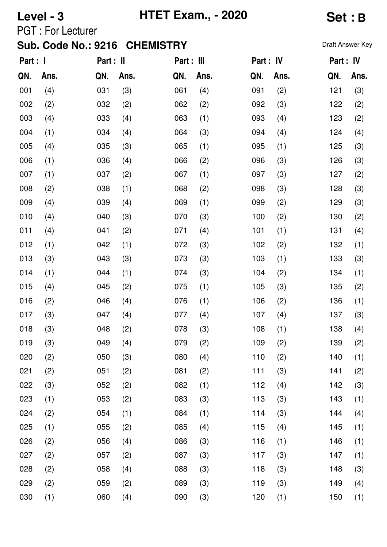# **Level - 3 HTET Exam., - 2020 Set : B**

PGT : For Lecturer

| Part : I |      | Part : II |      | Part : III |      | Part : IV |      | Part : IV |      |
|----------|------|-----------|------|------------|------|-----------|------|-----------|------|
| QN.      | Ans. | QN.       | Ans. | QN.        | Ans. | QN.       | Ans. | QN.       | Ans. |
| 001      | (4)  | 031       | (3)  | 061        | (4)  | 091       | (2)  | 121       | (3)  |
| 002      | (2)  | 032       | (2)  | 062        | (2)  | 092       | (3)  | 122       | (2)  |
| 003      | (4)  | 033       | (4)  | 063        | (1)  | 093       | (4)  | 123       | (2)  |
| 004      | (1)  | 034       | (4)  | 064        | (3)  | 094       | (4)  | 124       | (4)  |
| 005      | (4)  | 035       | (3)  | 065        | (1)  | 095       | (1)  | 125       | (3)  |
| 006      | (1)  | 036       | (4)  | 066        | (2)  | 096       | (3)  | 126       | (3)  |
| 007      | (1)  | 037       | (2)  | 067        | (1)  | 097       | (3)  | 127       | (2)  |
| 008      | (2)  | 038       | (1)  | 068        | (2)  | 098       | (3)  | 128       | (3)  |
| 009      | (4)  | 039       | (4)  | 069        | (1)  | 099       | (2)  | 129       | (3)  |
| 010      | (4)  | 040       | (3)  | 070        | (3)  | 100       | (2)  | 130       | (2)  |
| 011      | (4)  | 041       | (2)  | 071        | (4)  | 101       | (1)  | 131       | (4)  |
| 012      | (1)  | 042       | (1)  | 072        | (3)  | 102       | (2)  | 132       | (1)  |
| 013      | (3)  | 043       | (3)  | 073        | (3)  | 103       | (1)  | 133       | (3)  |
| 014      | (1)  | 044       | (1)  | 074        | (3)  | 104       | (2)  | 134       | (1)  |
| 015      | (4)  | 045       | (2)  | 075        | (1)  | 105       | (3)  | 135       | (2)  |
| 016      | (2)  | 046       | (4)  | 076        | (1)  | 106       | (2)  | 136       | (1)  |
| 017      | (3)  | 047       | (4)  | 077        | (4)  | 107       | (4)  | 137       | (3)  |
| 018      | (3)  | 048       | (2)  | 078        | (3)  | 108       | (1)  | 138       | (4)  |
| 019      | (3)  | 049       | (4)  | 079        | (2)  | 109       | (2)  | 139       | (2)  |
| 020      | (2)  | 050       | (3)  | 080        | (4)  | 110       | (2)  | 140       | (1)  |
| 021      | (2)  | 051       | (2)  | 081        | (2)  | 111       | (3)  | 141       | (2)  |
| 022      | (3)  | 052       | (2)  | 082        | (1)  | 112       | (4)  | 142       | (3)  |
| 023      | (1)  | 053       | (2)  | 083        | (3)  | 113       | (3)  | 143       | (1)  |
| 024      | (2)  | 054       | (1)  | 084        | (1)  | 114       | (3)  | 144       | (4)  |
| 025      | (1)  | 055       | (2)  | 085        | (4)  | 115       | (4)  | 145       | (1)  |
| 026      | (2)  | 056       | (4)  | 086        | (3)  | 116       | (1)  | 146       | (1)  |
| 027      | (2)  | 057       | (2)  | 087        | (3)  | 117       | (3)  | 147       | (1)  |
| 028      | (2)  | 058       | (4)  | 088        | (3)  | 118       | (3)  | 148       | (3)  |
| 029      | (2)  | 059       | (2)  | 089        | (3)  | 119       | (3)  | 149       | (4)  |
| 030      | (1)  | 060       | (4)  | 090        | (3)  | 120       | (1)  | 150       | (1)  |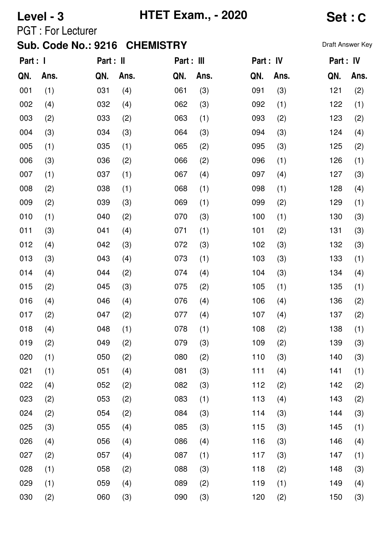**Level - 3 HTET Exam., - 2020 Set : C**

PGT : For Lecturer

| Part : I |      | Part : II |      | Part : III |      | Part : IV |      | Part : IV |      |
|----------|------|-----------|------|------------|------|-----------|------|-----------|------|
| QN.      | Ans. | QN.       | Ans. | QN.        | Ans. | QN.       | Ans. | QN.       | Ans. |
| 001      | (1)  | 031       | (4)  | 061        | (3)  | 091       | (3)  | 121       | (2)  |
| 002      | (4)  | 032       | (4)  | 062        | (3)  | 092       | (1)  | 122       | (1)  |
| 003      | (2)  | 033       | (2)  | 063        | (1)  | 093       | (2)  | 123       | (2)  |
| 004      | (3)  | 034       | (3)  | 064        | (3)  | 094       | (3)  | 124       | (4)  |
| 005      | (1)  | 035       | (1)  | 065        | (2)  | 095       | (3)  | 125       | (2)  |
| 006      | (3)  | 036       | (2)  | 066        | (2)  | 096       | (1)  | 126       | (1)  |
| 007      | (1)  | 037       | (1)  | 067        | (4)  | 097       | (4)  | 127       | (3)  |
| 008      | (2)  | 038       | (1)  | 068        | (1)  | 098       | (1)  | 128       | (4)  |
| 009      | (2)  | 039       | (3)  | 069        | (1)  | 099       | (2)  | 129       | (1)  |
| 010      | (1)  | 040       | (2)  | 070        | (3)  | 100       | (1)  | 130       | (3)  |
| 011      | (3)  | 041       | (4)  | 071        | (1)  | 101       | (2)  | 131       | (3)  |
| 012      | (4)  | 042       | (3)  | 072        | (3)  | 102       | (3)  | 132       | (3)  |
| 013      | (3)  | 043       | (4)  | 073        | (1)  | 103       | (3)  | 133       | (1)  |
| 014      | (4)  | 044       | (2)  | 074        | (4)  | 104       | (3)  | 134       | (4)  |
| 015      | (2)  | 045       | (3)  | 075        | (2)  | 105       | (1)  | 135       | (1)  |
| 016      | (4)  | 046       | (4)  | 076        | (4)  | 106       | (4)  | 136       | (2)  |
| 017      | (2)  | 047       | (2)  | 077        | (4)  | 107       | (4)  | 137       | (2)  |
| 018      | (4)  | 048       | (1)  | 078        | (1)  | 108       | (2)  | 138       | (1)  |
| 019      | (2)  | 049       | (2)  | 079        | (3)  | 109       | (2)  | 139       | (3)  |
| 020      | (1)  | 050       | (2)  | 080        | (2)  | 110       | (3)  | 140       | (3)  |
| 021      | (1)  | 051       | (4)  | 081        | (3)  | 111       | (4)  | 141       | (1)  |
| 022      | (4)  | 052       | (2)  | 082        | (3)  | 112       | (2)  | 142       | (2)  |
| 023      | (2)  | 053       | (2)  | 083        | (1)  | 113       | (4)  | 143       | (2)  |
| 024      | (2)  | 054       | (2)  | 084        | (3)  | 114       | (3)  | 144       | (3)  |
| 025      | (3)  | 055       | (4)  | 085        | (3)  | 115       | (3)  | 145       | (1)  |
| 026      | (4)  | 056       | (4)  | 086        | (4)  | 116       | (3)  | 146       | (4)  |
| 027      | (2)  | 057       | (4)  | 087        | (1)  | 117       | (3)  | 147       | (1)  |
| 028      | (1)  | 058       | (2)  | 088        | (3)  | 118       | (2)  | 148       | (3)  |
| 029      | (1)  | 059       | (4)  | 089        | (2)  | 119       | (1)  | 149       | (4)  |
| 030      | (2)  | 060       | (3)  | 090        | (3)  | 120       | (2)  | 150       | (3)  |